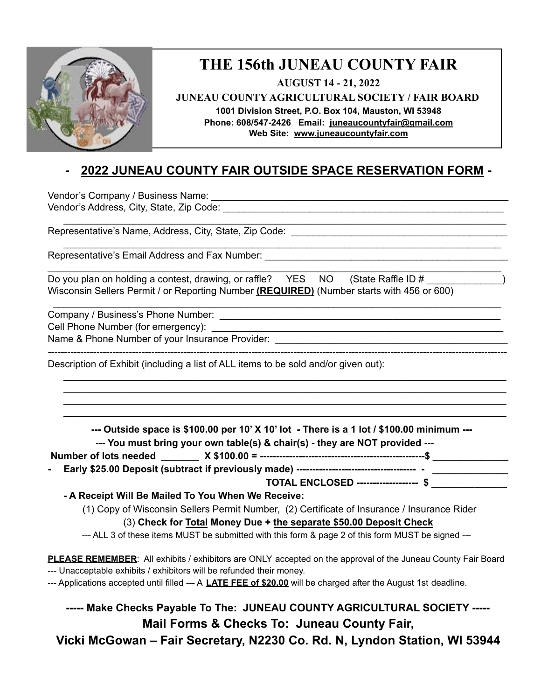

## **THE 156th JUNEAU COUNTY FAIR**

**AUGUST 14 - 21, 2022**

**JUNEAU COUNTY AGRICULTURAL SOCIETY / FAIR BOARD**

**1001 Division Street, P.O. Box 104, Mauston, WI 53948**

**Phone: 608/547-2426 Email: [juneaucountyfair@gmail.com](mailto:juneaucountyfair@gmail.com) Web Site: [www.juneaucountyf](http://www.juneaucounty/)air.com**

## **- 2022 JUNEAU COUNTY FAIR OUTSIDE SPACE RESERVATION FORM -**

\_\_\_\_\_\_\_\_\_\_\_\_\_\_\_\_\_\_\_\_\_\_\_\_\_\_\_\_\_\_\_\_\_\_\_\_\_\_\_\_\_\_\_\_\_\_\_\_\_\_\_\_\_\_\_\_\_\_\_\_\_\_\_\_\_\_\_\_\_\_\_\_\_\_\_\_\_\_\_\_\_\_

\_\_\_\_\_\_\_\_\_\_\_\_\_\_\_\_\_\_\_\_\_\_\_\_\_\_\_\_\_\_\_\_\_\_\_\_\_\_\_\_\_\_\_\_\_\_\_\_\_\_\_\_\_\_\_\_\_\_\_\_\_\_\_\_\_\_\_\_\_\_\_\_\_\_\_\_\_\_\_\_\_

\_\_\_\_\_\_\_\_\_\_\_\_\_\_\_\_\_\_\_\_\_\_\_\_\_\_\_\_\_\_\_\_\_\_\_\_\_\_\_\_\_\_\_\_\_\_\_\_\_\_\_\_\_\_\_\_\_\_\_\_\_\_\_\_\_\_\_\_\_\_\_\_\_\_\_\_\_\_\_\_\_\_\_\_

\_\_\_\_\_\_\_\_\_\_\_\_\_\_\_\_\_\_\_\_\_\_\_\_\_\_\_\_\_\_\_\_\_\_\_\_\_\_\_\_\_\_\_\_\_\_\_\_\_\_\_\_\_\_\_\_\_\_\_\_\_\_\_\_\_\_\_\_\_\_\_\_\_\_\_\_\_\_\_\_\_\_\_

**----------------------------------------------------------------------------------------------------------------------------------------------**

\_\_\_\_\_\_\_\_\_\_\_\_\_\_\_\_\_\_\_\_\_\_\_\_\_\_\_\_\_\_\_\_\_\_\_\_\_\_\_\_\_\_\_\_\_\_\_\_\_\_\_\_\_\_\_\_\_\_\_\_\_\_\_\_\_\_\_\_\_\_\_\_\_\_\_\_\_\_\_\_\_\_ \_\_\_\_\_\_\_\_\_\_\_\_\_\_\_\_\_\_\_\_\_\_\_\_\_\_\_\_\_\_\_\_\_\_\_\_\_\_\_\_\_\_\_\_\_\_\_\_\_\_\_\_\_\_\_\_\_\_\_\_\_\_\_\_\_\_\_\_\_\_\_\_\_\_\_\_\_\_\_\_\_\_ \_\_\_\_\_\_\_\_\_\_\_\_\_\_\_\_\_\_\_\_\_\_\_\_\_\_\_\_\_\_\_\_\_\_\_\_\_\_\_\_\_\_\_\_\_\_\_\_\_\_\_\_\_\_\_\_\_\_\_\_\_\_\_\_\_\_\_\_\_\_\_\_\_\_\_\_\_\_\_\_\_\_ \_\_\_\_\_\_\_\_\_\_\_\_\_\_\_\_\_\_\_\_\_\_\_\_\_\_\_\_\_\_\_\_\_\_\_\_\_\_\_\_\_\_\_\_\_\_\_\_\_\_\_\_\_\_\_\_\_\_\_\_\_\_\_\_\_\_\_\_\_\_\_\_\_\_\_\_\_\_\_\_\_\_

Vendor's Company / Business Name: \_\_\_\_\_\_\_\_\_\_\_\_\_\_\_\_\_\_\_\_\_\_\_\_\_\_\_\_\_\_\_\_\_\_\_\_\_\_\_\_\_\_\_\_\_\_\_\_\_\_\_\_\_\_\_ Vendor's Address, City, State, Zip Code: \_\_\_\_\_\_\_\_\_\_\_\_\_\_\_\_\_\_\_\_\_\_\_\_\_\_\_\_\_\_\_\_\_\_\_\_\_\_\_\_\_\_\_\_\_\_\_\_\_\_\_\_

Representative's Name, Address, City, State, Zip Code:

Representative's Email Address and Fax Number: \_\_\_\_\_\_\_\_\_\_\_\_\_\_\_\_\_\_\_\_\_\_\_\_\_\_\_\_\_\_\_\_\_

| Do you plan on holding a contest, drawing, or raffle? YES NO (State Raffle ID #           |  |  |
|-------------------------------------------------------------------------------------------|--|--|
| Wisconsin Sellers Permit / or Reporting Number (REQUIRED) (Number starts with 456 or 600) |  |  |

Company / Business's Phone Number: \_\_\_\_\_\_\_\_\_\_\_\_\_\_\_\_\_\_\_\_\_\_\_\_\_\_\_\_\_\_\_\_\_\_\_\_\_\_\_\_\_\_\_\_\_\_\_\_\_\_\_\_

Cell Phone Number (for emergency):

Name & Phone Number of your Insurance Provider:

Description of Exhibit (including a list of ALL items to be sold and/or given out):

--- Outside space is \$100.00 per 10' X 10' lot - There is a 1 lot / \$100.00 minimum ---

**--- You must bring your own table(s) & chair(s) - they are NOT provided ---**

**Number of lots needed \_\_\_\_\_\_\_ X \$100.00 = ---------------------------------------------------\$ \_\_\_\_\_\_\_\_\_\_\_\_\_\_**

**- Early \$25.00 Deposit (subtract if previously made) ------------------------------------- - \_\_\_\_\_\_\_\_\_\_\_\_\_\_**

**TOTAL ENCLOSED ------------------- \$ \_\_\_\_\_\_\_\_\_\_\_\_\_\_**

**- A Receipt Will Be Mailed To You When We Receive:**

(1) Copy of Wisconsin Sellers Permit Number, (2) Certificate of Insurance / Insurance Rider

(3) **Check for Total Money Due + the separate \$50.00 Deposit Check**

--- ALL 3 of these items MUST be submitted with this form & page 2 of this form MUST be signed ---

**PLEASE REMEMBER**: All exhibits / exhibitors are ONLY accepted on the approval of the Juneau County Fair Board --- Unacceptable exhibits / exhibitors will be refunded their money.

--- Applications accepted until filled --- A **LATE FEE of \$20.00** will be charged after the August 1st deadline.

**----- Make Checks Payable To The: JUNEAU COUNTY AGRICULTURAL SOCIETY ----- Mail Forms & Checks To: Juneau County Fair, Vicki McGowan – Fair Secretary, N2230 Co. Rd. N, Lyndon Station, WI 53944**